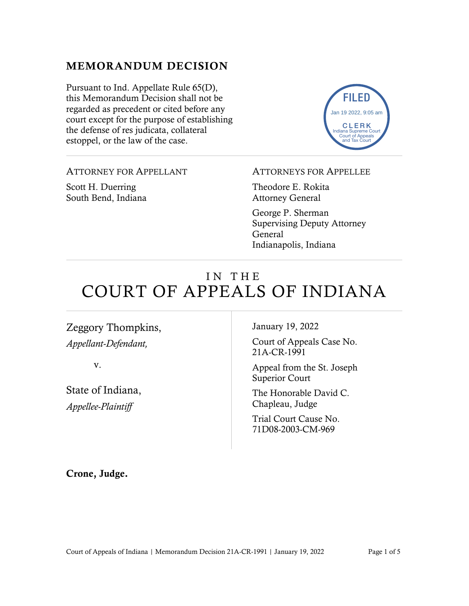# MEMORANDUM DECISION

Pursuant to Ind. Appellate Rule 65(D), this Memorandum Decision shall not be regarded as precedent or cited before any court except for the purpose of establishing the defense of res judicata, collateral estoppel, or the law of the case.



### ATTORNEY FOR APPELLANT

Scott H. Duerring South Bend, Indiana

#### ATTORNEYS FOR APPELLEE

Theodore E. Rokita Attorney General

George P. Sherman Supervising Deputy Attorney General Indianapolis, Indiana

# IN THE COURT OF APPEALS OF INDIANA

Zeggory Thompkins, *Appellant-Defendant,*

v.

State of Indiana, *Appellee-Plaintiff*

January 19, 2022

Court of Appeals Case No. 21A-CR-1991

Appeal from the St. Joseph Superior Court

The Honorable David C. Chapleau, Judge

Trial Court Cause No. 71D08-2003-CM-969

Crone, Judge.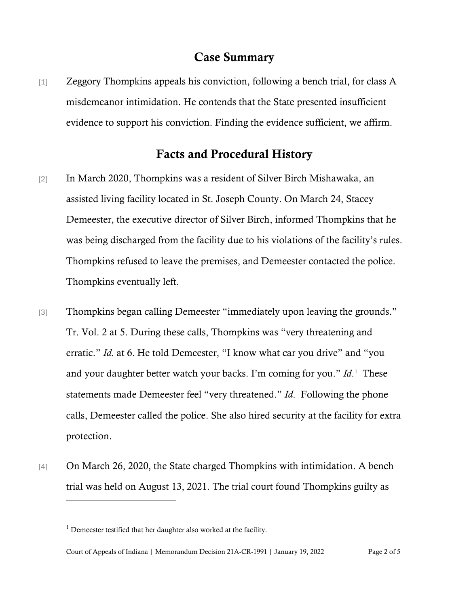## Case Summary

[1] Zeggory Thompkins appeals his conviction, following a bench trial, for class A misdemeanor intimidation. He contends that the State presented insufficient evidence to support his conviction. Finding the evidence sufficient, we affirm.

## Facts and Procedural History

- [2] In March 2020, Thompkins was a resident of Silver Birch Mishawaka, an assisted living facility located in St. Joseph County. On March 24, Stacey Demeester, the executive director of Silver Birch, informed Thompkins that he was being discharged from the facility due to his violations of the facility's rules. Thompkins refused to leave the premises, and Demeester contacted the police. Thompkins eventually left.
- [3] Thompkins began calling Demeester "immediately upon leaving the grounds." Tr. Vol. 2 at 5. During these calls, Thompkins was "very threatening and erratic." *Id.* at 6. He told Demeester, "I know what car you drive" and "you and your daughter better watch your backs. I'm coming for you." *Id*.<sup>[1](#page-1-0)</sup> These statements made Demeester feel "very threatened." *Id*. Following the phone calls, Demeester called the police. She also hired security at the facility for extra protection.
- [4] On March 26, 2020, the State charged Thompkins with intimidation. A bench trial was held on August 13, 2021. The trial court found Thompkins guilty as

<span id="page-1-0"></span> $1$  Demeester testified that her daughter also worked at the facility.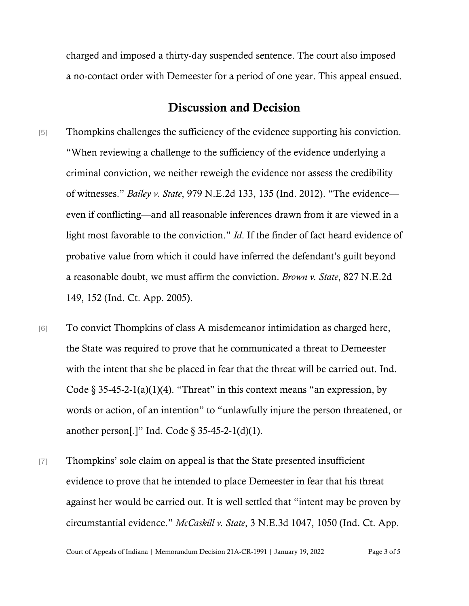charged and imposed a thirty-day suspended sentence. The court also imposed a no-contact order with Demeester for a period of one year. This appeal ensued.

# Discussion and Decision

- [5] Thompkins challenges the sufficiency of the evidence supporting his conviction. "When reviewing a challenge to the sufficiency of the evidence underlying a criminal conviction, we neither reweigh the evidence nor assess the credibility of witnesses." *Bailey v. State*, 979 N.E.2d 133, 135 (Ind. 2012). "The evidence even if conflicting—and all reasonable inferences drawn from it are viewed in a light most favorable to the conviction." *Id*. If the finder of fact heard evidence of probative value from which it could have inferred the defendant's guilt beyond a reasonable doubt, we must affirm the conviction. *Brown v. State*, 827 N.E.2d 149, 152 (Ind. Ct. App. 2005).
- [6] To convict Thompkins of class A misdemeanor intimidation as charged here, the State was required to prove that he communicated a threat to Demeester with the intent that she be placed in fear that the threat will be carried out. Ind. Code  $\S 35-45-2-1(a)(1)(4)$ . "Threat" in this context means "an expression, by words or action, of an intention" to "unlawfully injure the person threatened, or another person[.]" Ind. Code  $\S 35-45-2-1(d)(1)$ .
- [7] Thompkins' sole claim on appeal is that the State presented insufficient evidence to prove that he intended to place Demeester in fear that his threat against her would be carried out. It is well settled that "intent may be proven by circumstantial evidence." *McCaskill v. State*, 3 N.E.3d 1047, 1050 (Ind. Ct. App.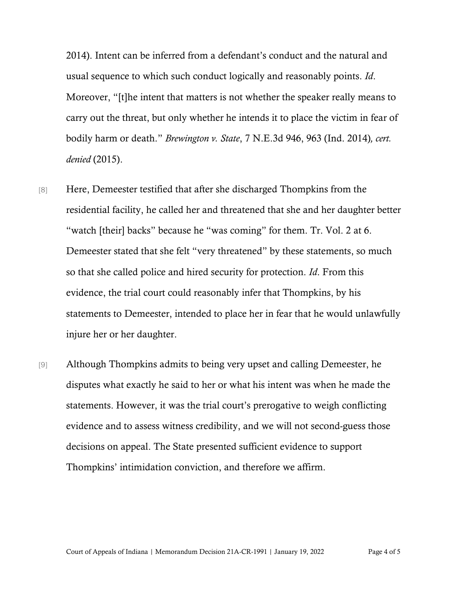2014). Intent can be inferred from a defendant's conduct and the natural and usual sequence to which such conduct logically and reasonably points. *Id*. Moreover, "[t]he intent that matters is not whether the speaker really means to carry out the threat, but only whether he intends it to place the victim in fear of bodily harm or death." *Brewington v. State*, 7 N.E.3d 946, 963 (Ind. 2014)*, cert. denied* (2015).

- [8] Here, Demeester testified that after she discharged Thompkins from the residential facility, he called her and threatened that she and her daughter better "watch [their] backs" because he "was coming" for them. Tr. Vol. 2 at 6. Demeester stated that she felt "very threatened" by these statements, so much so that she called police and hired security for protection. *Id*. From this evidence, the trial court could reasonably infer that Thompkins, by his statements to Demeester, intended to place her in fear that he would unlawfully injure her or her daughter.
- [9] Although Thompkins admits to being very upset and calling Demeester, he disputes what exactly he said to her or what his intent was when he made the statements. However, it was the trial court's prerogative to weigh conflicting evidence and to assess witness credibility, and we will not second-guess those decisions on appeal. The State presented sufficient evidence to support Thompkins' intimidation conviction, and therefore we affirm.